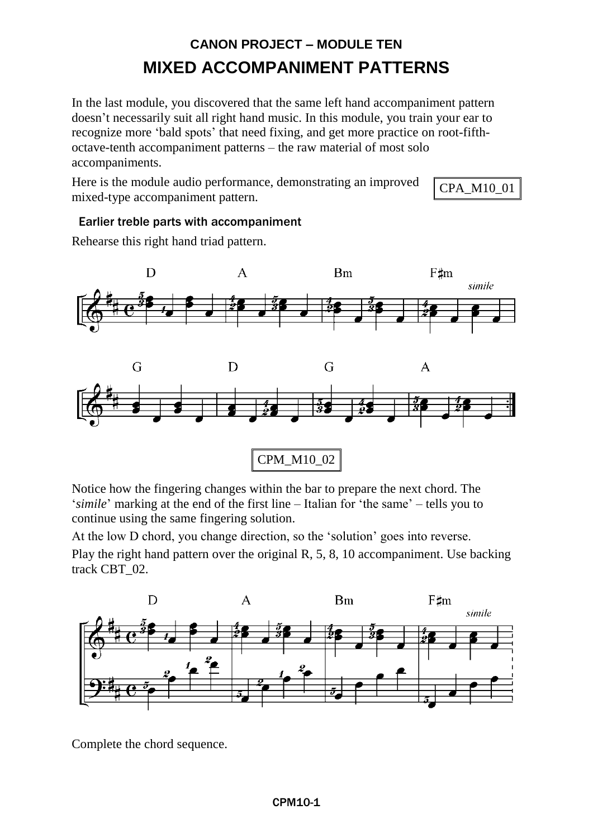# **CANON PROJECT – MODULE TEN MIXED ACCOMPANIMENT PATTERNS**

In the last module, you discovered that the same left hand accompaniment pattern doesn't necessarily suit all right hand music. In this module, you train your ear to recognize more 'bald spots' that need fixing, and get more practice on root-fifthoctave-tenth accompaniment patterns – the raw material of most solo accompaniments.

Here is the module audio performance, demonstrating an improved mixed-type accompaniment pattern.

CPA\_M10\_01

## Earlier treble parts with accompaniment

Rehearse this right hand triad pattern.



Notice how the fingering changes within the bar to prepare the next chord. The '*simile*' marking at the end of the first line – Italian for 'the same' – tells you to continue using the same fingering solution.

At the low D chord, you change direction, so the 'solution' goes into reverse.

Play the right hand pattern over the original R, 5, 8, 10 accompaniment. Use backing track CBT\_02.



Complete the chord sequence.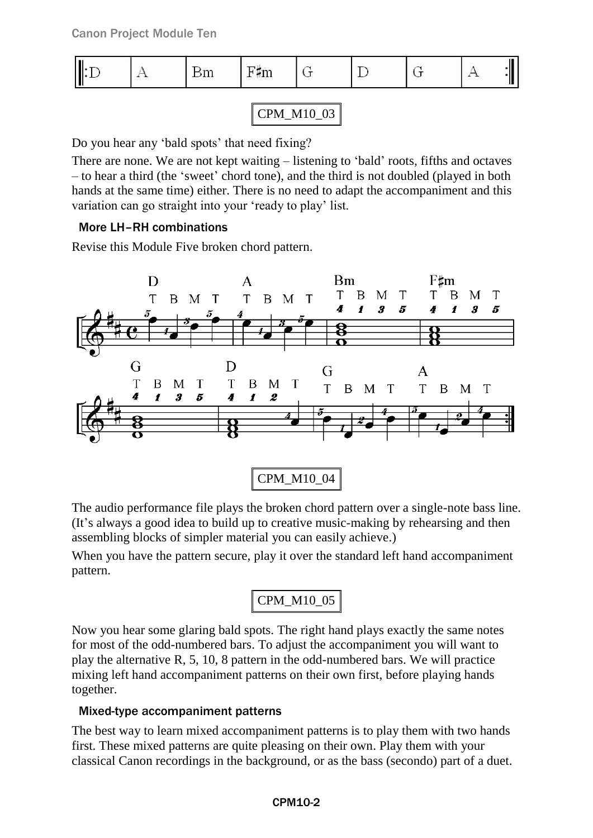|  | ,,,,, | –<br>urri |  |  |  |
|--|-------|-----------|--|--|--|
|  |       |           |  |  |  |

CPM\_M10\_03

Do you hear any 'bald spots' that need fixing?

There are none. We are not kept waiting – listening to 'bald' roots, fifths and octaves – to hear a third (the 'sweet' chord tone), and the third is not doubled (played in both hands at the same time) either. There is no need to adapt the accompaniment and this variation can go straight into your 'ready to play' list.

## More LH–RH combinations

Revise this Module Five broken chord pattern.



The audio performance file plays the broken chord pattern over a single-note bass line. (It's always a good idea to build up to creative music-making by rehearsing and then assembling blocks of simpler material you can easily achieve.)

When you have the pattern secure, play it over the standard left hand accompaniment pattern.

CPM\_M10\_05

Now you hear some glaring bald spots. The right hand plays exactly the same notes for most of the odd-numbered bars. To adjust the accompaniment you will want to play the alternative R, 5, 10, 8 pattern in the odd-numbered bars. We will practice mixing left hand accompaniment patterns on their own first, before playing hands together.

# Mixed-type accompaniment patterns

The best way to learn mixed accompaniment patterns is to play them with two hands first. These mixed patterns are quite pleasing on their own. Play them with your classical Canon recordings in the background, or as the bass (secondo) part of a duet.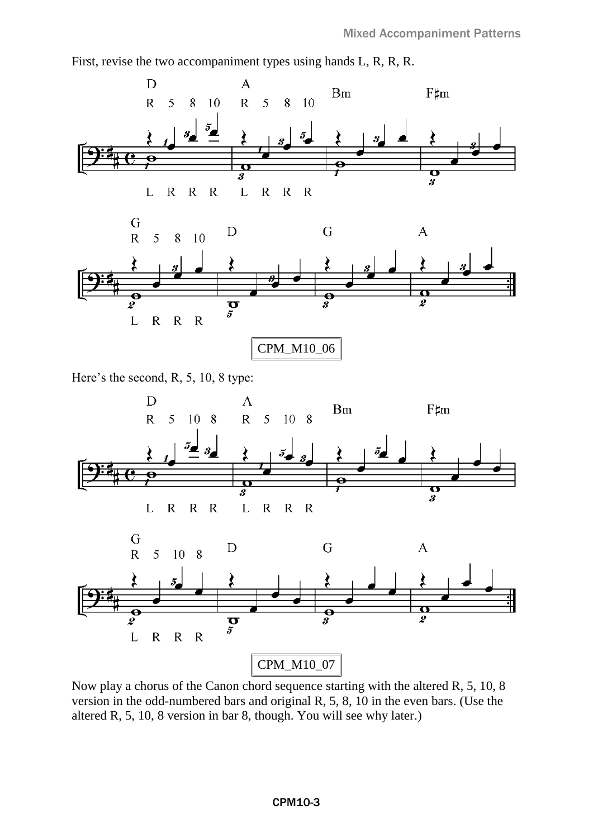First, revise the two accompaniment types using hands L, R, R, R.



Here's the second, R, 5, 10, 8 type:



Now play a chorus of the Canon chord sequence starting with the altered R, 5, 10, 8 version in the odd-numbered bars and original R, 5, 8, 10 in the even bars. (Use the altered R, 5, 10, 8 version in bar 8, though. You will see why later.)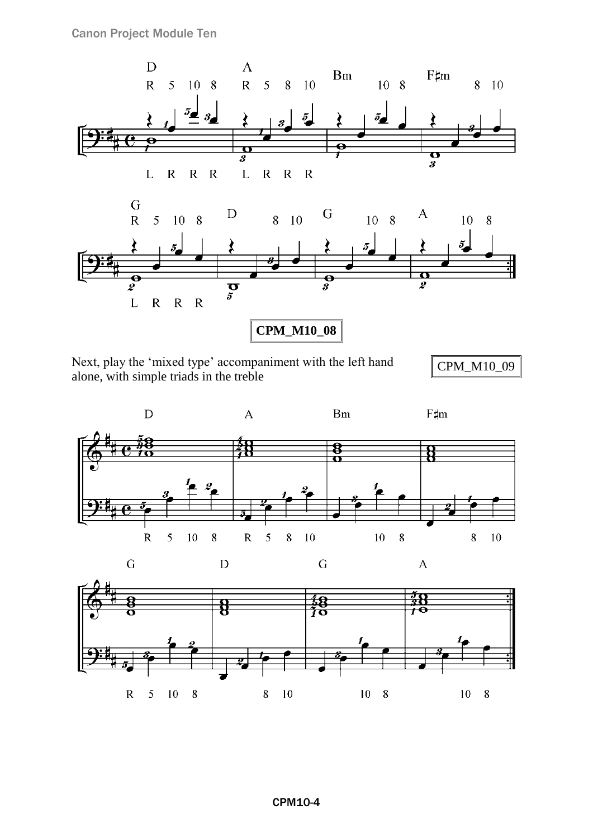







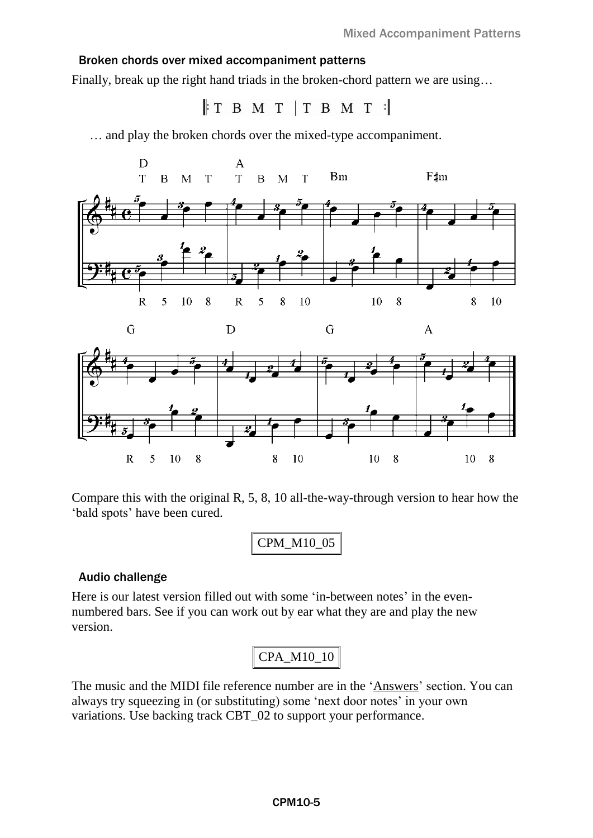### Broken chords over mixed accompaniment patterns

Finally, break up the right hand triads in the broken-chord pattern we are using…

 $\parallel$ TBMT TBMT  $\parallel$ 

… and play the broken chords over the mixed-type accompaniment.





Compare this with the original R, 5, 8, 10 all-the-way-through version to hear how the 'bald spots' have been cured.

#### Audio challenge

Here is our latest version filled out with some 'in-between notes' in the evennumbered bars. See if you can work out by ear what they are and play the new version.

The music and the MIDI file reference number are in the 'Answers' section. You can always try squeezing in (or substituting) some 'next door notes' in your own variations. Use backing track CBT\_02 to support your performance.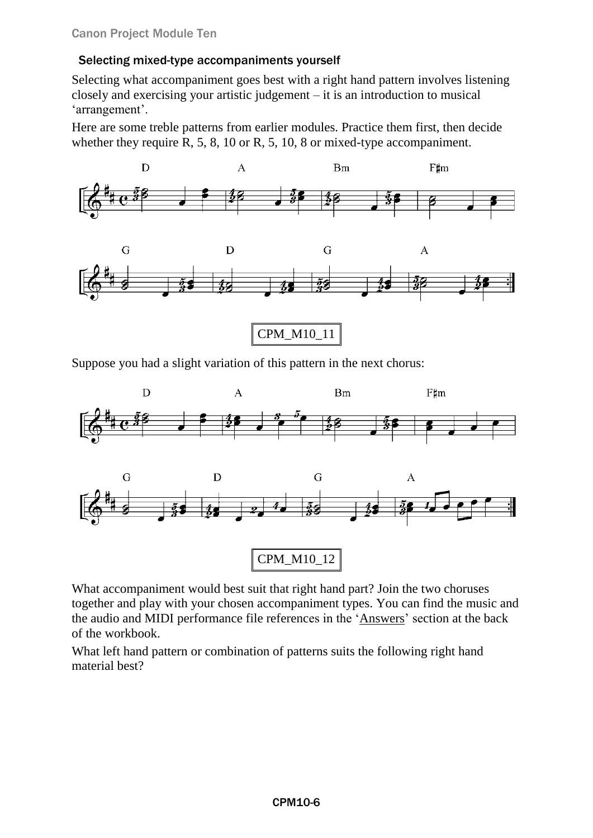## Selecting mixed-type accompaniments yourself

Selecting what accompaniment goes best with a right hand pattern involves listening closely and exercising your artistic judgement – it is an introduction to musical 'arrangement'.

Here are some treble patterns from earlier modules. Practice them first, then decide whether they require R, 5, 8, 10 or R, 5, 10, 8 or mixed-type accompaniment.



Suppose you had a slight variation of this pattern in the next chorus:



What accompaniment would best suit that right hand part? Join the two choruses together and play with your chosen accompaniment types. You can find the music and the audio and MIDI performance file references in the ['Answers'](#page-7-0) section at the back of the workbook.

What left hand pattern or combination of patterns suits the following right hand material best?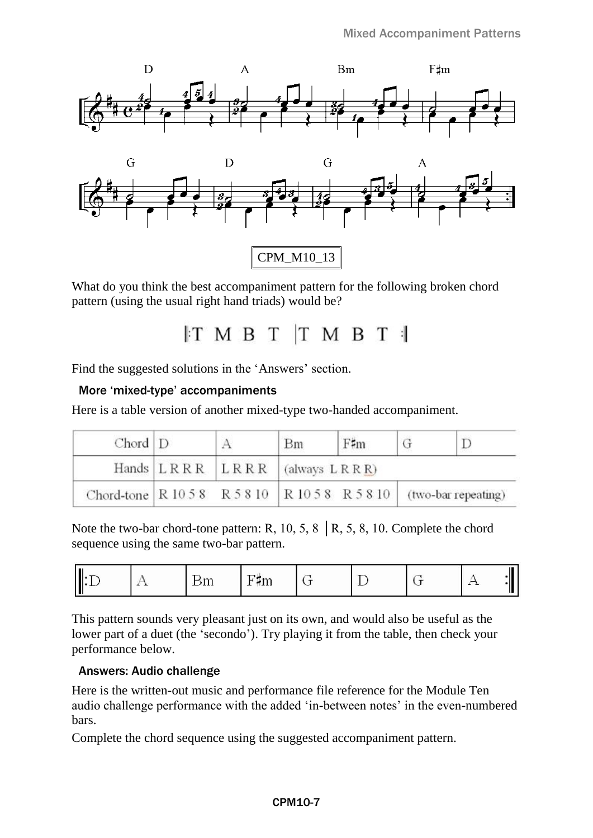



What do you think the best accompaniment pattern for the following broken chord pattern (using the usual right hand triads) would be?

 $IT$  M B T T M B T  $\parallel$ 

Find the suggested solutions in the 'Answers' section.

#### More 'mixed-type' accompaniments

Here is a table version of another mixed-type two-handed accompaniment.

| $Chord$ $D$ |                                     | Bm | $F\sharp m$ |                                                                          |
|-------------|-------------------------------------|----|-------------|--------------------------------------------------------------------------|
|             | Hands $LRRR$ $LRRR$ $(always LRRR)$ |    |             |                                                                          |
|             |                                     |    |             | Chord-tone   R 10 5 8 R 5 8 10   R 10 5 8 R 5 8 10   (two-bar repeating) |

Note the two-bar chord-tone pattern: R, 10, 5, 8  $\,$  R, 5, 8, 10. Complete the chord sequence using the same two-bar pattern.

|  | ---- | the state of the con-<br>–<br>1111<br>- |  |  |  |  |
|--|------|-----------------------------------------|--|--|--|--|
|--|------|-----------------------------------------|--|--|--|--|

This pattern sounds very pleasant just on its own, and would also be useful as the lower part of a duet (the 'secondo'). Try playing it from the table, then check your performance below.

#### Answers: Audio challenge

Here is the written-out music and performance file reference for the Module Ten audio challenge performance with the added 'in-between notes' in the even-numbered bars.

Complete the chord sequence using the suggested accompaniment pattern.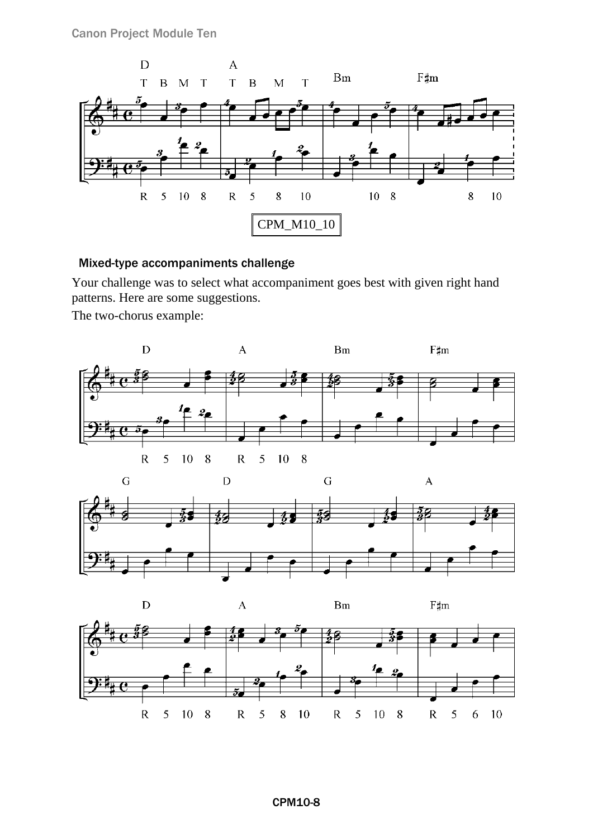Canon Project Module Ten



### <span id="page-7-0"></span>Mixed-type accompaniments challenge

Your challenge was to select what accompaniment goes best with given right hand patterns. Here are some suggestions.

The two-chorus example:





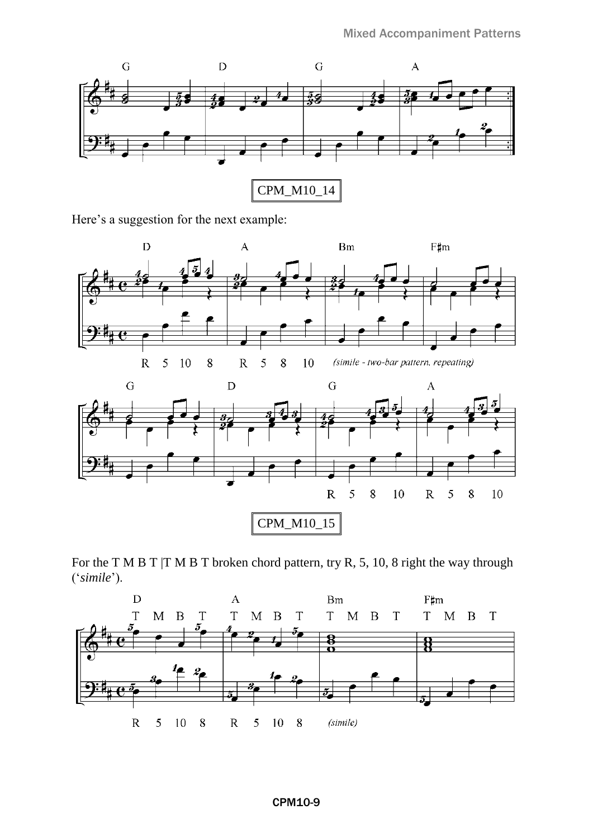

Here's a suggestion for the next example: